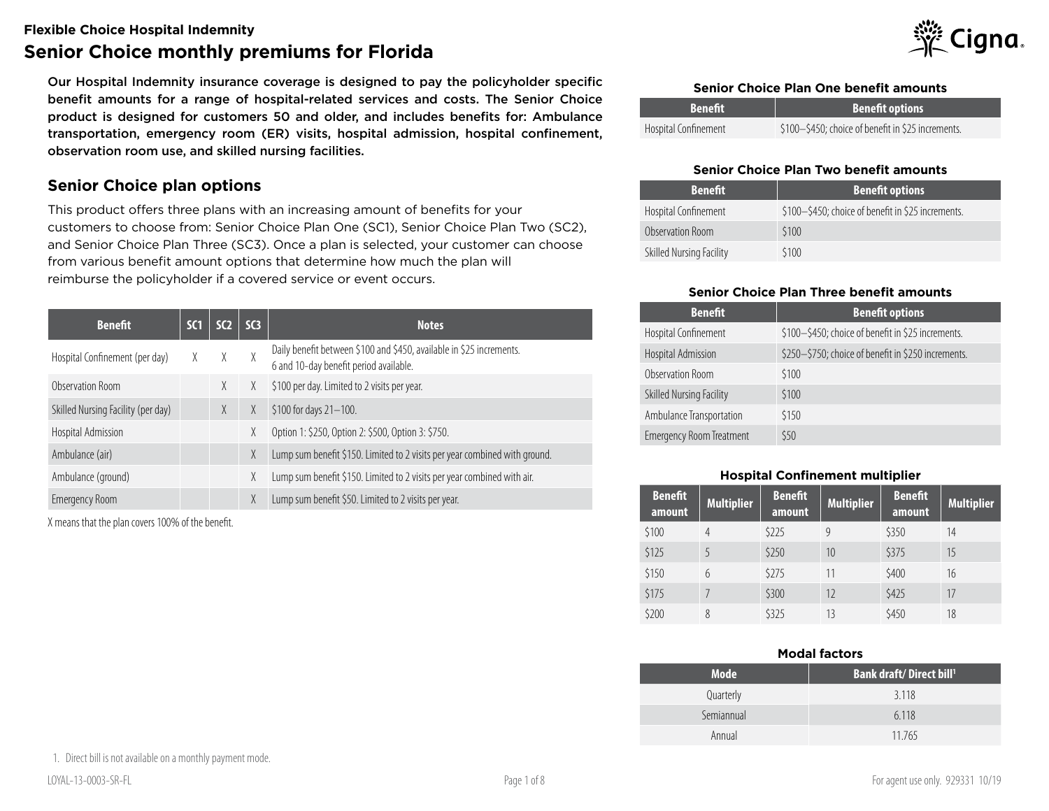#### **Flexible Choice Hospital Indemnity**

# **Senior Choice monthly premiums for Florida**

Our Hospital Indemnity insurance coverage is designed to pay the policyholder specific benefit amounts for a range of hospital-related services and costs. The Senior Choice product is designed for customers 50 and older, and includes benefits for: Ambulance transportation, emergency room (ER) visits, hospital admission, hospital confinement, observation room use, and skilled nursing facilities.

### **Senior Choice plan options**

This product offers three plans with an increasing amount of benefits for your customers to choose from: Senior Choice Plan One (SC1), Senior Choice Plan Two (SC2), and Senior Choice Plan Three (SC3). Once a plan is selected, your customer can choose from various benefit amount options that determine how much the plan will reimburse the policyholder if a covered service or event occurs.

| <b>Benefit</b>                     | SC1 | SC <sub>2</sub> | SC <sub>3</sub> | <b>Notes</b>                                                                                                   |
|------------------------------------|-----|-----------------|-----------------|----------------------------------------------------------------------------------------------------------------|
| Hospital Confinement (per day)     | X.  | X               | χ               | Daily benefit between \$100 and \$450, available in \$25 increments.<br>6 and 10-day benefit period available. |
| Observation Room                   |     | X               | X               | \$100 per day. Limited to 2 visits per year.                                                                   |
| Skilled Nursing Facility (per day) |     | X               | χ               | \$100 for days 21-100.                                                                                         |
| Hospital Admission                 |     |                 | χ               | Option 1: \$250, Option 2: \$500, Option 3: \$750.                                                             |
| Ambulance (air)                    |     |                 | X               | Lump sum benefit \$150. Limited to 2 visits per year combined with ground.                                     |
| Ambulance (ground)                 |     |                 | χ               | Lump sum benefit \$150. Limited to 2 visits per year combined with air.                                        |
| <b>Emergency Room</b>              |     |                 | X               | Lump sum benefit \$50. Limited to 2 visits per year.                                                           |

X means that the plan covers 100% of the benefit.



#### **Senior Choice Plan One benefit amounts**

| <b>Benefit</b>       | <b>Benefit options</b>                             |
|----------------------|----------------------------------------------------|
| Hospital Confinement | \$100-\$450; choice of benefit in \$25 increments. |

#### **Senior Choice Plan Two benefit amounts**

| <b>Benefit</b>           | <b>Benefit options</b>                             |
|--------------------------|----------------------------------------------------|
| Hospital Confinement     | \$100-\$450; choice of benefit in \$25 increments. |
| Observation Room         | \$100                                              |
| Skilled Nursing Facility | \$100                                              |

#### **Senior Choice Plan Three benefit amounts**

| <b>Benefit</b>                  | <b>Benefit options</b>                              |
|---------------------------------|-----------------------------------------------------|
| Hospital Confinement            | \$100-\$450; choice of benefit in \$25 increments.  |
| Hospital Admission              | \$250-\$750; choice of benefit in \$250 increments. |
| Observation Room                | \$100                                               |
| Skilled Nursing Facility        | \$100                                               |
| Ambulance Transportation        | \$150                                               |
| <b>Emergency Room Treatment</b> | \$50                                                |

#### **Hospital Confinement multiplier**

| <b>Benefit</b><br>amount | <b>Multiplier</b> | <b>Benefit</b><br>amount | <b>Multiplier</b> | <b>Benefit</b><br>amount | <b>Multiplier</b> |
|--------------------------|-------------------|--------------------------|-------------------|--------------------------|-------------------|
| \$100                    | 4                 | \$225                    | 9                 | \$350                    | 14                |
| \$125                    |                   | \$250                    | 10                | \$375                    | 15                |
| \$150                    | 6                 | \$275                    | 11                | \$400                    | 16                |
| \$175                    |                   | \$300                    | 12                | \$425                    | 17                |
| \$200                    | 8                 | \$325                    | 13                | \$450                    | 18                |

#### **Modal factors**

| <b>Mode</b> | <b>Bank draft/Direct bill</b> |
|-------------|-------------------------------|
| Quarterly   | 3.118                         |
| Semiannual  | 6.118                         |
| Annual      | 11.765                        |

1. Direct bill is not available on a monthly payment mode.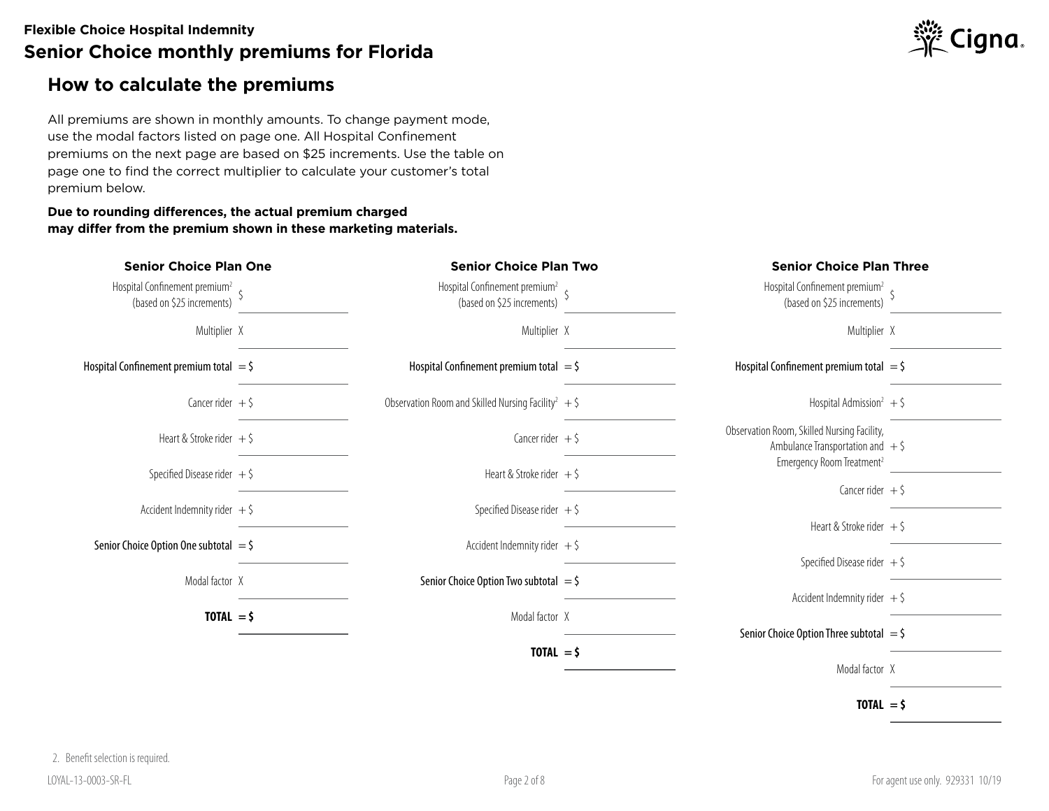### **How to calculate the premiums**

All premiums are shown in monthly amounts. To change payment mode, use the modal factors listed on page one. All Hospital Confinement premiums on the next page are based on \$25 increments. Use the table on page one to find the correct multiplier to calculate your customer's total premium below.

#### **Due to rounding differences, the actual premium charged may differ from the premium shown in these marketing materials.**



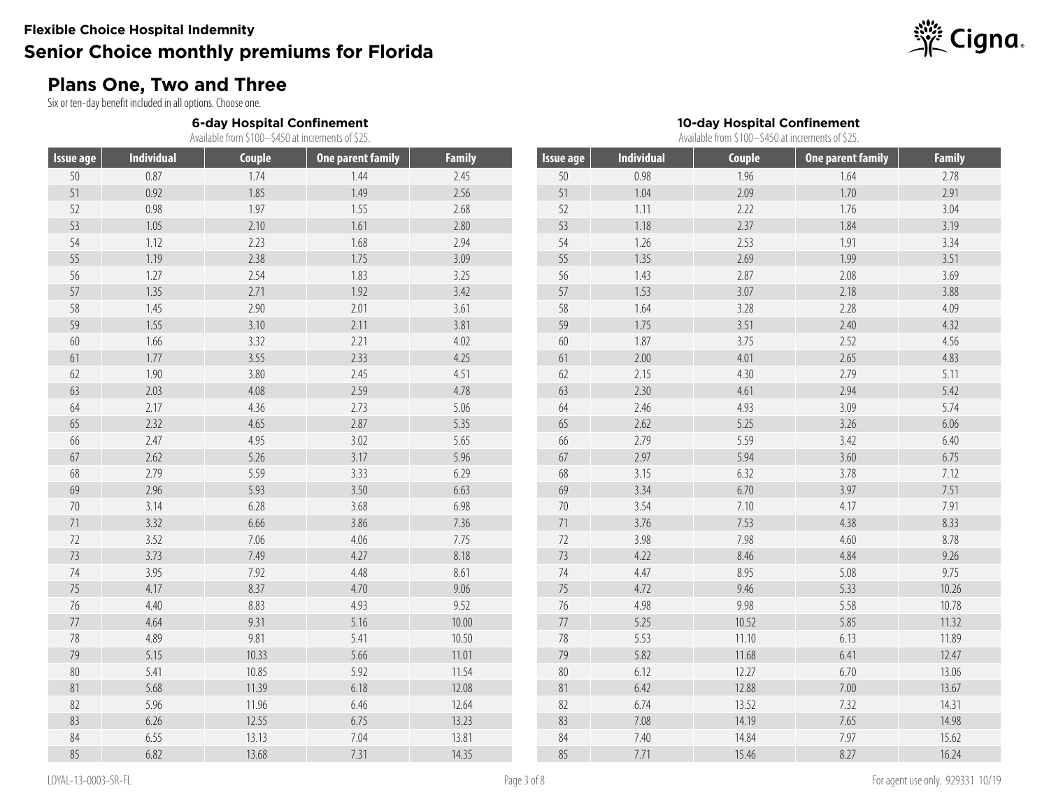## **Plans One, Two and Three**

Six or ten-day benefit included in all options. Choose one.

**6-day Hospital Confinement**

Available from \$100–\$450 at increments of \$25.

| <b>Issue age</b> | <b>Individual</b> | <b>Couple</b> | <b>One parent family</b> | <b>Family</b> | <b>Issue age</b> | <b>Individual</b> | Couple | <b>One parent family</b> | <b>Family</b> |
|------------------|-------------------|---------------|--------------------------|---------------|------------------|-------------------|--------|--------------------------|---------------|
| 50               | 0.87              | 1.74          | 1.44                     | 2.45          | 50               | 0.98              | 1.96   | 1.64                     | 2.78          |
| 51               | 0.92              | 1.85          | 1.49                     | 2.56          | 51               | 1.04              | 2.09   | 1.70                     | 2.91          |
| 52               | 0.98              | 1.97          | 1.55                     | 2.68          | 52               | 1.11              | 2.22   | 1.76                     | 3.04          |
| 53               | 1.05              | 2.10          | 1.61                     | 2.80          | 53               | 1.18              | 2.37   | 1.84                     | 3.19          |
| 54               | 1.12              | 2.23          | 1.68                     | 2.94          | 54               | 1.26              | 2.53   | 1.91                     | 3.34          |
| 55               | 1.19              | 2.38          | 1.75                     | 3.09          | 55               | 1.35              | 2.69   | 1.99                     | 3.51          |
| 56               | 1.27              | 2.54          | 1.83                     | 3.25          | 56               | 1.43              | 2.87   | 2.08                     | 3.69          |
| 57               | 1.35              | 2.71          | 1.92                     | 3.42          | 57               | 1.53              | 3.07   | 2.18                     | 3.88          |
| 58               | 1.45              | 2.90          | 2.01                     | 3.61          | 58               | 1.64              | 3.28   | 2.28                     | 4.09          |
| 59               | 1.55              | 3.10          | 2.11                     | 3.81          | 59               | 1.75              | 3.51   | 2.40                     | 4.32          |
| $60\,$           | 1.66              | 3.32          | 2.21                     | 4.02          | 60               | 1.87              | 3.75   | 2.52                     | 4.56          |
| 61               | 1.77              | 3.55          | 2.33                     | 4.25          | 61               | 2.00              | 4.01   | 2.65                     | 4.83          |
| 62               | 1.90              | 3.80          | 2.45                     | 4.51          | 62               | 2.15              | 4.30   | 2.79                     | 5.11          |
| 63               | 2.03              | 4.08          | 2.59                     | 4.78          | 63               | 2.30              | 4.61   | 2.94                     | 5.42          |
| 64               | 2.17              | 4.36          | 2.73                     | 5.06          | 64               | 2.46              | 4.93   | 3.09                     | 5.74          |
| 65               | 2.32              | 4.65          | 2.87                     | 5.35          | 65               | 2.62              | 5.25   | 3.26                     | 6.06          |
| 66               | 2.47              | 4.95          | 3.02                     | 5.65          | 66               | 2.79              | 5.59   | 3.42                     | 6.40          |
| 67               | 2.62              | 5.26          | 3.17                     | 5.96          | 67               | 2.97              | 5.94   | 3.60                     | 6.75          |
| 68               | 2.79              | 5.59          | 3.33                     | 6.29          | 68               | 3.15              | 6.32   | 3.78                     | 7.12          |
| 69               | 2.96              | 5.93          | 3.50                     | 6.63          | 69               | 3.34              | 6.70   | 3.97                     | 7.51          |
| $70\,$           | 3.14              | 6.28          | 3.68                     | 6.98          | $70\,$           | 3.54              | 7.10   | 4.17                     | 7.91          |
| 71               | 3.32              | 6.66          | 3.86                     | 7.36          | 71               | 3.76              | 7.53   | 4.38                     | 8.33          |
| 72               | 3.52              | 7.06          | 4.06                     | 7.75          | 72               | 3.98              | 7.98   | 4.60                     | 8.78          |
| 73               | 3.73              | 7.49          | 4.27                     | 8.18          | 73               | 4.22              | 8.46   | 4.84                     | 9.26          |
| 74               | 3.95              | 7.92          | 4.48                     | 8.61          | 74               | 4.47              | 8.95   | 5.08                     | 9.75          |
| 75               | 4.17              | 8.37          | 4.70                     | 9.06          | 75               | 4.72              | 9.46   | 5.33                     | 10.26         |
| $76\,$           | 4.40              | 8.83          | 4.93                     | 9.52          | $76\,$           | 4.98              | 9.98   | 5.58                     | 10.78         |
| $77\,$           | 4.64              | 9.31          | 5.16                     | 10.00         | $77\,$           | 5.25              | 10.52  | 5.85                     | 11.32         |
| 78               | 4.89              | 9.81          | 5.41                     | 10.50         | 78               | 5.53              | 11.10  | 6.13                     | 11.89         |
| 79               | 5.15              | 10.33         | 5.66                     | 11.01         | 79               | 5.82              | 11.68  | 6.41                     | 12.47         |
| $80\,$           | 5.41              | 10.85         | 5.92                     | 11.54         | $80\,$           | 6.12              | 12.27  | 6.70                     | 13.06         |
| 81               | 5.68              | 11.39         | 6.18                     | 12.08         | $81\,$           | 6.42              | 12.88  | $7.00\,$                 | 13.67         |
| 82               | 5.96              | 11.96         | 6.46                     | 12.64         | 82               | 6.74              | 13.52  | 7.32                     | 14.31         |
| 83               | 6.26              | 12.55         | 6.75                     | 13.23         | 83               | 7.08              | 14.19  | 7.65                     | 14.98         |
| 84               | 6.55              | 13.13         | 7.04                     | 13.81         | 84               | 7.40              | 14.84  | 7.97                     | 15.62         |
| 85               | 6.82              | 13.68         | 7.31                     | 14.35         | 85               | 7.71              | 15.46  | 8.27                     | 16.24         |



**10-day Hospital Confinement** Available from \$100–\$450 at increments of \$25.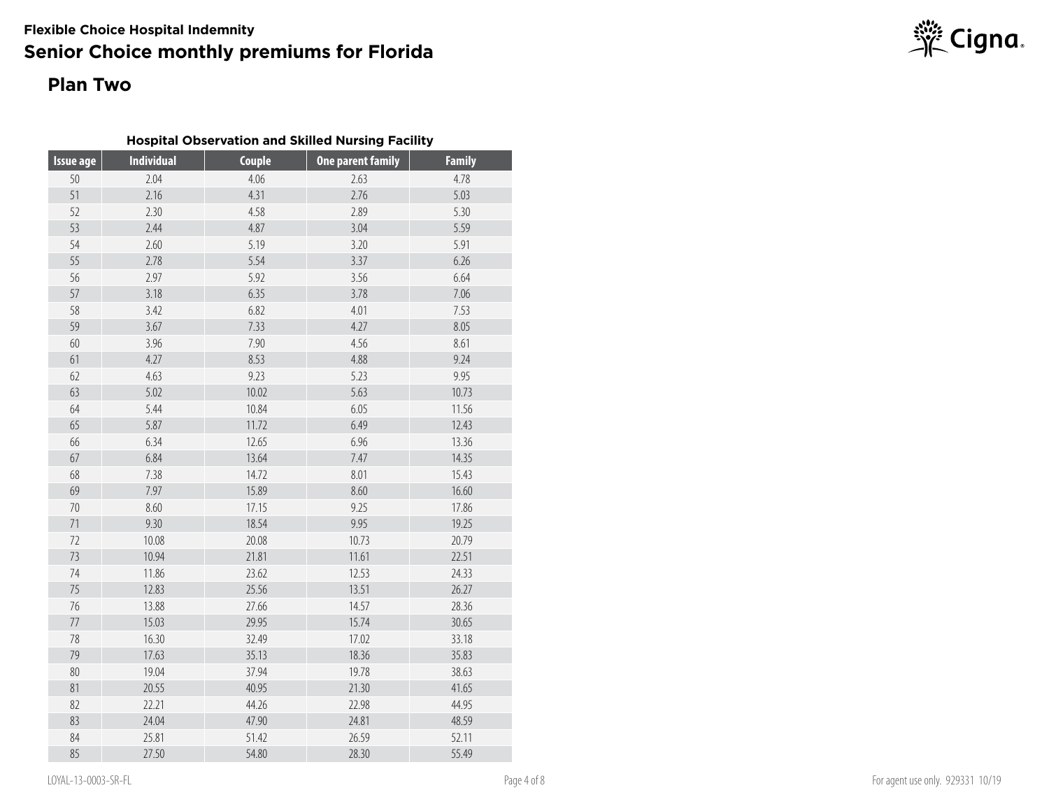## **Plan Two**

| <b>Hospital Observation and Skilled Nursing Facility</b> |  |  |  |  |
|----------------------------------------------------------|--|--|--|--|
|----------------------------------------------------------|--|--|--|--|

| <b>Issue age</b> | <b>Individual</b> | <b>Couple</b> | <b>One parent family</b> | <b>Family</b> |
|------------------|-------------------|---------------|--------------------------|---------------|
| 50               | 2.04              | 4.06          | 2.63                     | 4.78          |
| 51               | 2.16              | 4.31          | 2.76                     | 5.03          |
| 52               | 2.30              | 4.58          | 2.89                     | 5.30          |
| 53               | 2.44              | 4.87          | 3.04                     | 5.59          |
| 54               | 2.60              | 5.19          | 3.20                     | 5.91          |
| 55               | 2.78              | 5.54          | 3.37                     | 6.26          |
| 56               | 2.97              | 5.92          | 3.56                     | 6.64          |
| 57               | 3.18              | 6.35          | 3.78                     | 7.06          |
| 58               | 3.42              | 6.82          | 4.01                     | 7.53          |
| 59               | 3.67              | 7.33          | 4.27                     | 8.05          |
| 60               | 3.96              | 7.90          | 4.56                     | 8.61          |
| 61               | 4.27              | 8.53          | 4.88                     | 9.24          |
| 62               | 4.63              | 9.23          | 5.23                     | 9.95          |
| 63               | 5.02              | 10.02         | 5.63                     | 10.73         |
| 64               | 5.44              | 10.84         | 6.05                     | 11.56         |
| 65               | 5.87              | 11.72         | 6.49                     | 12.43         |
| 66               | 6.34              | 12.65         | 6.96                     | 13.36         |
| 67               | 6.84              | 13.64         | 7.47                     | 14.35         |
| 68               | 7.38              | 14.72         | 8.01                     | 15.43         |
| 69               | 7.97              | 15.89         | 8.60                     | 16.60         |
| $70\,$           | 8.60              | 17.15         | 9.25                     | 17.86         |
| 71               | 9.30              | 18.54         | 9.95                     | 19.25         |
| $72\,$           | 10.08             | 20.08         | 10.73                    | 20.79         |
| 73               | 10.94             | 21.81         | 11.61                    | 22.51         |
| 74               | 11.86             | 23.62         | 12.53                    | 24.33         |
| 75               | 12.83             | 25.56         | 13.51                    | 26.27         |
| $76\,$           | 13.88             | 27.66         | 14.57                    | 28.36         |
| 77               | 15.03             | 29.95         | 15.74                    | 30.65         |
| $78\,$           | 16.30             | 32.49         | 17.02                    | 33.18         |
| 79               | 17.63             | 35.13         | 18.36                    | 35.83         |
| $80\,$           | 19.04             | 37.94         | 19.78                    | 38.63         |
| 81               | 20.55             | 40.95         | 21.30                    | 41.65         |
| 82               | 22.21             | 44.26         | 22.98                    | 44.95         |
| 83               | 24.04             | 47.90         | 24.81                    | 48.59         |
| 84               | 25.81             | 51.42         | 26.59                    | 52.11         |
| 85               | 27.50             | 54.80         | 28.30                    | 55.49         |

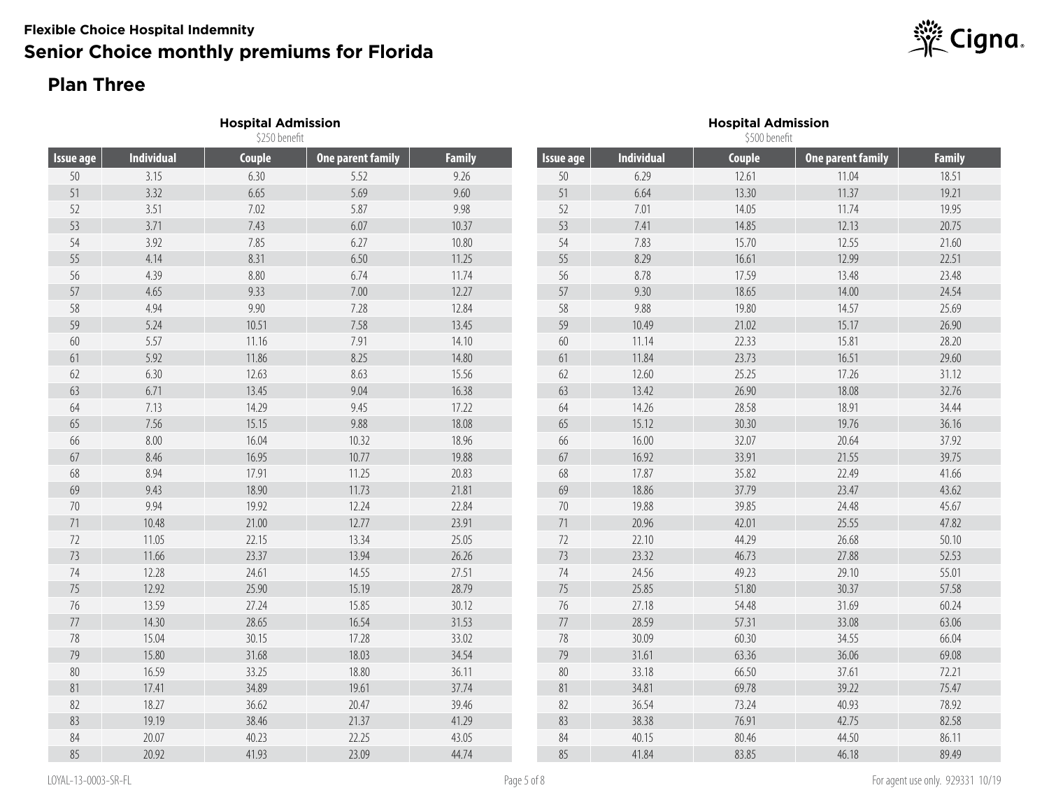## **Plan Three**

|                  |                   | <b>Hospital Admission</b><br>\$250 benefit |                          |               |                  |                   | <b>Hospital Admission</b><br>\$500 benefit |                          |               |  |  |
|------------------|-------------------|--------------------------------------------|--------------------------|---------------|------------------|-------------------|--------------------------------------------|--------------------------|---------------|--|--|
| <b>Issue age</b> | <b>Individual</b> | Couple                                     | <b>One parent family</b> | <b>Family</b> | <b>Issue age</b> | <b>Individual</b> | <b>Couple</b>                              | <b>One parent family</b> | <b>Family</b> |  |  |
| 50               | 3.15              | 6.30                                       | 5.52                     | 9.26          | 50               | 6.29              | 12.61                                      | 11.04                    | 18.51         |  |  |
| 51               | 3.32              | 6.65                                       | 5.69                     | 9.60          | 51               | 6.64              | 13.30                                      | 11.37                    | 19.21         |  |  |
| 52               | 3.51              | 7.02                                       | 5.87                     | 9.98          | 52               | 7.01              | 14.05                                      | 11.74                    | 19.95         |  |  |
| 53               | 3.71              | 7.43                                       | 6.07                     | 10.37         | 53               | 7.41              | 14.85                                      | 12.13                    | 20.75         |  |  |
| 54               | 3.92              | 7.85                                       | 6.27                     | 10.80         | 54               | 7.83              | 15.70                                      | 12.55                    | 21.60         |  |  |
| 55               | 4.14              | 8.31                                       | 6.50                     | 11.25         | 55               | 8.29              | 16.61                                      | 12.99                    | 22.51         |  |  |
| 56               | 4.39              | 8.80                                       | 6.74                     | 11.74         | 56               | 8.78              | 17.59                                      | 13.48                    | 23.48         |  |  |
| 57               | 4.65              | 9.33                                       | 7.00                     | 12.27         | 57               | 9.30              | 18.65                                      | 14.00                    | 24.54         |  |  |
| 58               | 4.94              | 9.90                                       | 7.28                     | 12.84         | 58               | 9.88              | 19.80                                      | 14.57                    | 25.69         |  |  |
| 59               | 5.24              | 10.51                                      | 7.58                     | 13.45         | 59               | 10.49             | 21.02                                      | 15.17                    | 26.90         |  |  |
| 60               | 5.57              | 11.16                                      | 7.91                     | 14.10         | 60               | 11.14             | 22.33                                      | 15.81                    | 28.20         |  |  |
| 61               | 5.92              | 11.86                                      | 8.25                     | 14.80         | 61               | 11.84             | 23.73                                      | 16.51                    | 29.60         |  |  |
| 62               | 6.30              | 12.63                                      | 8.63                     | 15.56         | 62               | 12.60             | 25.25                                      | 17.26                    | 31.12         |  |  |
| 63               | 6.71              | 13.45                                      | 9.04                     | 16.38         | 63               | 13.42             | 26.90                                      | 18.08                    | 32.76         |  |  |
| 64               | 7.13              | 14.29                                      | 9.45                     | 17.22         | 64               | 14.26             | 28.58                                      | 18.91                    | 34.44         |  |  |
| 65               | 7.56              | 15.15                                      | 9.88                     | 18.08         | 65               | 15.12             | 30.30                                      | 19.76                    | 36.16         |  |  |
| 66               | 8.00              | 16.04                                      | 10.32                    | 18.96         | 66               | 16.00             | 32.07                                      | 20.64                    | 37.92         |  |  |
| 67               | 8.46              | 16.95                                      | 10.77                    | 19.88         | 67               | 16.92             | 33.91                                      | 21.55                    | 39.75         |  |  |
| 68               | 8.94              | 17.91                                      | 11.25                    | 20.83         | 68               | 17.87             | 35.82                                      | 22.49                    | 41.66         |  |  |
| 69               | 9.43              | 18.90                                      | 11.73                    | 21.81         | 69               | 18.86             | 37.79                                      | 23.47                    | 43.62         |  |  |
| $70\,$           | 9.94              | 19.92                                      | 12.24                    | 22.84         | 70               | 19.88             | 39.85                                      | 24.48                    | 45.67         |  |  |
| 71               | 10.48             | 21.00                                      | 12.77                    | 23.91         | 71               | 20.96             | 42.01                                      | 25.55                    | 47.82         |  |  |
| 72               | 11.05             | 22.15                                      | 13.34                    | 25.05         | 72               | 22.10             | 44.29                                      | 26.68                    | 50.10         |  |  |
| 73               | 11.66             | 23.37                                      | 13.94                    | 26.26         | 73               | 23.32             | 46.73                                      | 27.88                    | 52.53         |  |  |
| 74               | 12.28             | 24.61                                      | 14.55                    | 27.51         | 74               | 24.56             | 49.23                                      | 29.10                    | 55.01         |  |  |
| 75               | 12.92             | 25.90                                      | 15.19                    | 28.79         | 75               | 25.85             | 51.80                                      | 30.37                    | 57.58         |  |  |
| $76\,$           | 13.59             | 27.24                                      | 15.85                    | 30.12         | 76               | 27.18             | 54.48                                      | 31.69                    | 60.24         |  |  |
| 77               | 14.30             | 28.65                                      | 16.54                    | 31.53         | $77$             | 28.59             | 57.31                                      | 33.08                    | 63.06         |  |  |
| 78               | 15.04             | 30.15                                      | 17.28                    | 33.02         | 78               | 30.09             | 60.30                                      | 34.55                    | 66.04         |  |  |
| 79               | 15.80             | 31.68                                      | 18.03                    | 34.54         | 79               | 31.61             | 63.36                                      | 36.06                    | 69.08         |  |  |
| $80\,$           | 16.59             | 33.25                                      | 18.80                    | 36.11         | 80               | 33.18             | 66.50                                      | 37.61                    | 72.21         |  |  |
| 81               | 17.41             | 34.89                                      | 19.61                    | 37.74         | 81               | 34.81             | 69.78                                      | 39.22                    | 75.47         |  |  |
| 82               | 18.27             | 36.62                                      | 20.47                    | 39.46         | 82               | 36.54             | 73.24                                      | 40.93                    | 78.92         |  |  |
| 83               | 19.19             | 38.46                                      | 21.37                    | 41.29         | 83               | 38.38             | 76.91                                      | 42.75                    | 82.58         |  |  |
| 84               | 20.07             | 40.23                                      | 22.25                    | 43.05         | 84               | 40.15             | 80.46                                      | 44.50                    | 86.11         |  |  |
| 85               | 20.92             | 41.93                                      | 23.09                    | 44.74         | 85               | 41.84             | 83.85                                      | 46.18                    | 89.49         |  |  |

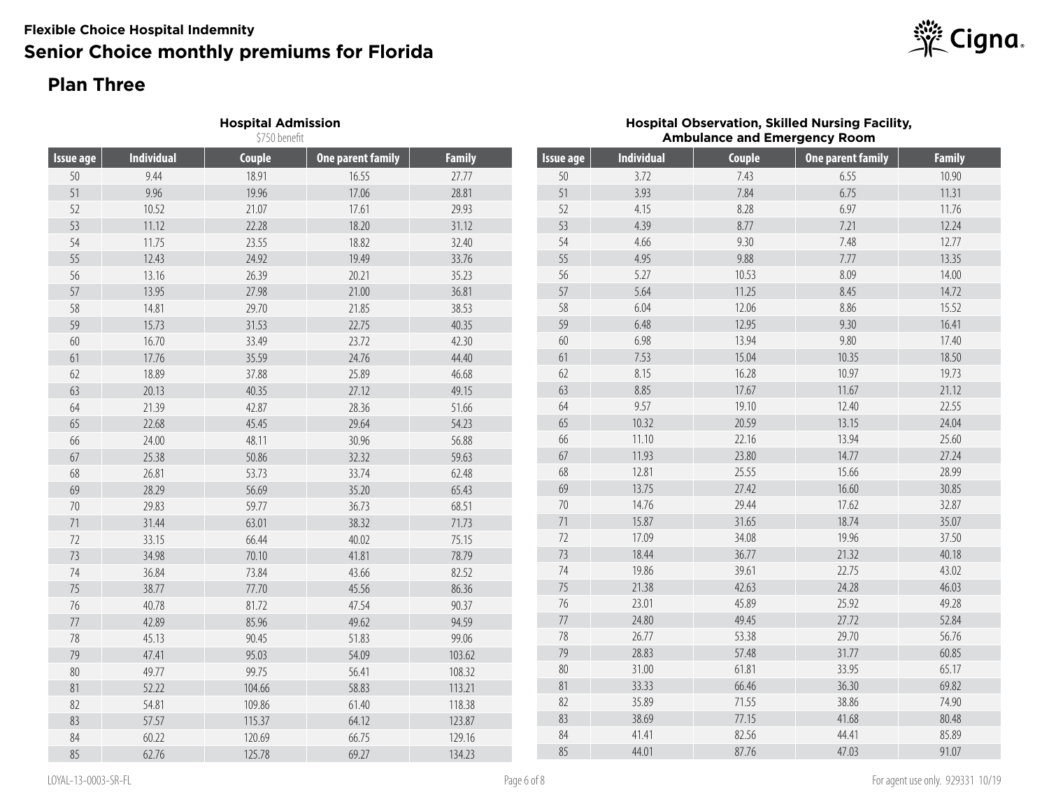## **Plan Three**

|                  |                   | <b>Hospital Admission</b><br>\$750 benefit |                          |               |           |                   |        | <b>Hospital Observation, Skilled Nursing Facility,</b><br><b>Ambulance and Emergency Room</b> |               |
|------------------|-------------------|--------------------------------------------|--------------------------|---------------|-----------|-------------------|--------|-----------------------------------------------------------------------------------------------|---------------|
| <b>Issue age</b> | <b>Individual</b> | Couple                                     | <b>One parent family</b> | <b>Family</b> | Issue age | <b>Individual</b> | Couple | <b>One parent family</b>                                                                      | <b>Family</b> |
| $50\,$           | 9.44              | 18.91                                      | 16.55                    | 27.77         | 50        | 3.72              | 7.43   | 6.55                                                                                          | 10.90         |
| 51               | 9.96              | 19.96                                      | 17.06                    | 28.81         | 51        | 3.93              | 7.84   | 6.75                                                                                          | 11.31         |
| 52               | 10.52             | 21.07                                      | 17.61                    | 29.93         | 52        | 4.15              | 8.28   | 6.97                                                                                          | 11.76         |
| 53               | 11.12             | 22.28                                      | 18.20                    | 31.12         | 53        | 4.39              | 8.77   | 7.21                                                                                          | 12.24         |
| 54               | 11.75             | 23.55                                      | 18.82                    | 32.40         | 54        | 4.66              | 9.30   | 7.48                                                                                          | 12.77         |
| 55               | 12.43             | 24.92                                      | 19.49                    | 33.76         | 55        | 4.95              | 9.88   | 7.77                                                                                          | 13.35         |
| 56               | 13.16             | 26.39                                      | 20.21                    | 35.23         | 56        | 5.27              | 10.53  | 8.09                                                                                          | 14.00         |
| 57               | 13.95             | 27.98                                      | 21.00                    | 36.81         | 57        | 5.64              | 11.25  | 8.45                                                                                          | 14.72         |
| 58               | 14.81             | 29.70                                      | 21.85                    | 38.53         | 58        | 6.04              | 12.06  | 8.86                                                                                          | 15.52         |
| 59               | 15.73             | 31.53                                      | 22.75                    | 40.35         | 59        | 6.48              | 12.95  | 9.30                                                                                          | 16.41         |
| 60               | 16.70             | 33.49                                      | 23.72                    | 42.30         | 60        | 6.98              | 13.94  | 9.80                                                                                          | 17.40         |
| 61               | 17.76             | 35.59                                      | 24.76                    | 44.40         | 61        | 7.53              | 15.04  | 10.35                                                                                         | 18.50         |
| 62               | 18.89             | 37.88                                      | 25.89                    | 46.68         | 62        | 8.15              | 16.28  | 10.97                                                                                         | 19.73         |
| 63               | 20.13             | 40.35                                      | 27.12                    | 49.15         | 63        | 8.85              | 17.67  | 11.67                                                                                         | 21.12         |
| 64               | 21.39             | 42.87                                      | 28.36                    | 51.66         | 64        | 9.57              | 19.10  | 12.40                                                                                         | 22.55         |
| 65               | 22.68             | 45.45                                      | 29.64                    | 54.23         | 65        | 10.32             | 20.59  | 13.15                                                                                         | 24.04         |
| 66               | 24.00             | 48.11                                      | 30.96                    | 56.88         | 66        | 11.10             | 22.16  | 13.94                                                                                         | 25.60         |
| 67               | 25.38             | 50.86                                      | 32.32                    | 59.63         | 67        | 11.93             | 23.80  | 14.77                                                                                         | 27.24         |
| 68               | 26.81             | 53.73                                      | 33.74                    | 62.48         | 68        | 12.81             | 25.55  | 15.66                                                                                         | 28.99         |
| 69               | 28.29             | 56.69                                      | 35.20                    | 65.43         | 69        | 13.75             | 27.42  | 16.60                                                                                         | 30.85         |
| 70               | 29.83             | 59.77                                      | 36.73                    | 68.51         | $70\,$    | 14.76             | 29.44  | 17.62                                                                                         | 32.87         |
| 71               | 31.44             | 63.01                                      | 38.32                    | 71.73         | $71$      | 15.87             | 31.65  | 18.74                                                                                         | 35.07         |
| 72               | 33.15             | 66.44                                      | 40.02                    | 75.15         | 72        | 17.09             | 34.08  | 19.96                                                                                         | 37.50         |
| 73               | 34.98             | 70.10                                      | 41.81                    | 78.79         | 73        | 18.44             | 36.77  | 21.32                                                                                         | 40.18         |
| 74               | 36.84             | 73.84                                      | 43.66                    | 82.52         | 74        | 19.86             | 39.61  | 22.75                                                                                         | 43.02         |
| 75               | 38.77             | 77.70                                      | 45.56                    | 86.36         | 75        | 21.38             | 42.63  | 24.28                                                                                         | 46.03         |
| 76               | 40.78             | 81.72                                      | 47.54                    | 90.37         | 76        | 23.01             | 45.89  | 25.92                                                                                         | 49.28         |
| $77\,$           | 42.89             | 85.96                                      | 49.62                    | 94.59         | $77\,$    | 24.80             | 49.45  | 27.72                                                                                         | 52.84         |
| 78               | 45.13             | 90.45                                      | 51.83                    | 99.06         | 78        | 26.77             | 53.38  | 29.70                                                                                         | 56.76         |
| 79               | 47.41             | 95.03                                      | 54.09                    | 103.62        | 79        | 28.83             | 57.48  | 31.77                                                                                         | 60.85         |
| $80\,$           | 49.77             | 99.75                                      | 56.41                    | 108.32        | $80\,$    | 31.00             | 61.81  | 33.95                                                                                         | 65.17         |
| 81               | 52.22             | 104.66                                     | 58.83                    | 113.21        | $81\,$    | 33.33             | 66.46  | 36.30                                                                                         | 69.82         |
| 82               | 54.81             | 109.86                                     | 61.40                    | 118.38        | 82        | 35.89             | 71.55  | 38.86                                                                                         | 74.90         |
| 83               | 57.57             | 115.37                                     | 64.12                    | 123.87        | 83        | 38.69             | 77.15  | 41.68                                                                                         | 80.48         |
| 84               | 60.22             | 120.69                                     | 66.75                    | 129.16        | 84        | 41.41             | 82.56  | 44.41                                                                                         | 85.89         |
| 85               | 62.76             | 125.78                                     | 69.27                    | 134.23        | 85        | 44.01             | 87.76  | 47.03                                                                                         | 91.07         |

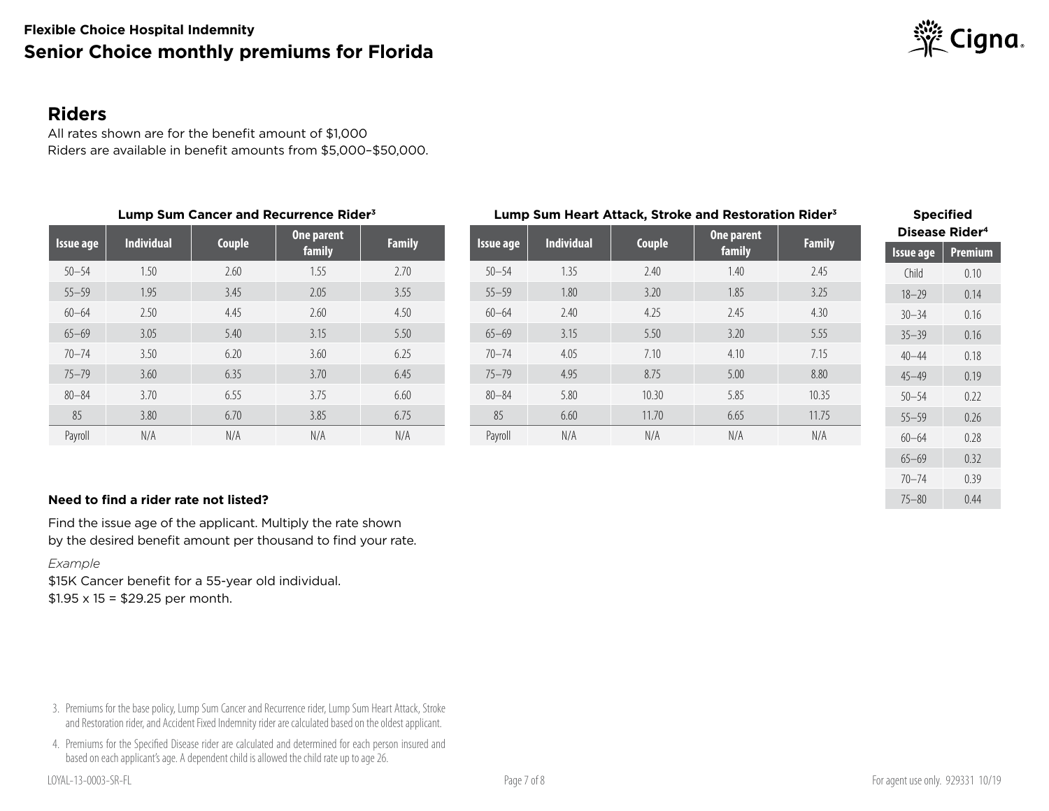

#### **Riders**

All rates shown are for the benefit amount of \$1,000 Riders are available in benefit amounts from \$5,000–\$50,000.

| Lump Sum Cancer and Recurrence Rider <sup>3</sup> |                   |        |        |               |  | Lump Sum Heart Attack, Stroke and Restoration Rider <sup>3</sup> | <b>Specified</b> |                   |        |            |                     |                       |         |  |
|---------------------------------------------------|-------------------|--------|--------|---------------|--|------------------------------------------------------------------|------------------|-------------------|--------|------------|---------------------|-----------------------|---------|--|
|                                                   | <b>Individual</b> |        |        | One parent    |  |                                                                  |                  | <b>Individual</b> |        | One parent | <b>Family</b>       | <b>Disease Rider4</b> |         |  |
| Issue age                                         |                   | Couple | family | <b>Family</b> |  | Issue age                                                        |                  | Couple            | family |            | <u>/ Is</u> sue age |                       | Premium |  |
| $50 - 54$                                         | 1.50              | 2.60   | 1.55   | 2.70          |  | $50 - 54$                                                        | 1.35             | 2.40              | 1.40   | 2.45       | Child               |                       | 0.10    |  |
| $55 - 59$                                         | 1.95              | 3.45   | 2.05   | 3.55          |  | $55 - 59$                                                        | 1.80             | 3.20              | 1.85   | 3.25       | $18 - 29$           |                       | 0.14    |  |
| $60 - 64$                                         | 2.50              | 4.45   | 2.60   | 4.50          |  | $60 - 64$                                                        | 2.40             | 4.25              | 2.45   | 4.30       | $30 - 34$           |                       | 0.16    |  |
| $65 - 69$                                         | 3.05              | 5.40   | 3.15   | 5.50          |  | $65 - 69$                                                        | 3.15             | 5.50              | 3.20   | 5.55       | $35 - 39$           |                       | 0.16    |  |
| $70 - 74$                                         | 3.50              | 6.20   | 3.60   | 6.25          |  | $70 - 74$                                                        | 4.05             | 7.10              | 4.10   | 7.15       | $40 - 44$           |                       | 0.18    |  |
| $75 - 79$                                         | 3.60              | 6.35   | 3.70   | 6.45          |  | $75 - 79$                                                        | 4.95             | 8.75              | 5.00   | 8.80       | $45 - 49$           |                       | 0.19    |  |
| $80 - 84$                                         | 3.70              | 6.55   | 3.75   | 6.60          |  | $80 - 84$                                                        | 5.80             | 10.30             | 5.85   | 10.35      | $50 - 54$           |                       | 0.22    |  |
| 85                                                | 3.80              | 6.70   | 3.85   | 6.75          |  | 85                                                               | 6.60             | 11.70             | 6.65   | 11.75      | $55 - 59$           |                       | 0.26    |  |
| Payroll                                           | N/A               | N/A    | N/A    | N/A           |  | Payroll                                                          | N/A              | N/A               | N/A    | N/A        | $60 - 64$           |                       | 0.28    |  |

#### **Need to find a rider rate not listed?** 2004 0.44

Find the issue age of the applicant. Multiply the rate shown by the desired benefit amount per thousand to find your rate.

#### *Example*

\$15K Cancer benefit for a 55-year old individual.  $$1.95 \times 15 = $29.25$  per month.

3. Premiums for the base policy, Lump Sum Cancer and Recurrence rider, Lump Sum Heart Attack, Stroke and Restoration rider, and Accident Fixed Indemnity rider are calculated based on the oldest applicant.

4. Premiums for the Specified Disease rider are calculated and determined for each person insured and based on each applicant's age. A dependent child is allowed the child rate up to age 26.

65–69 0.32 70–74 0.39